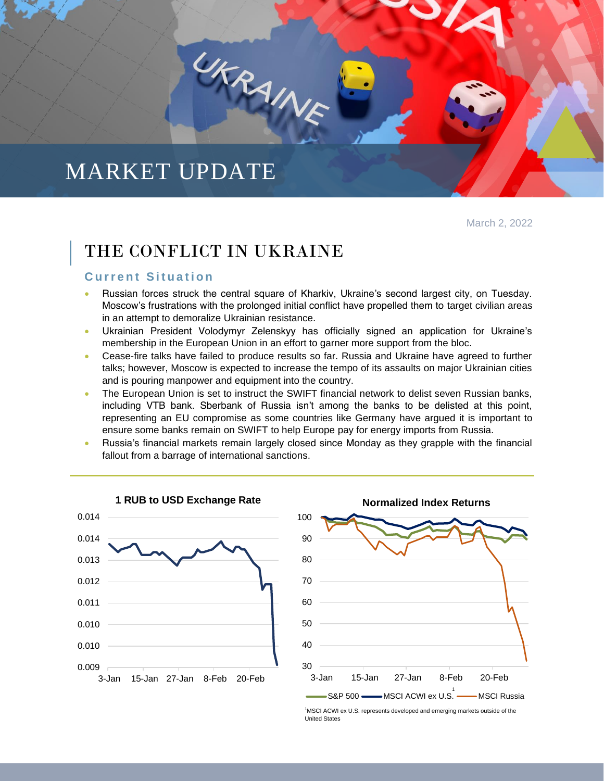# MARKET UPDATE

March 2, 2022

# THE CONFLICT IN UKRAINE

UKRAINE

## **Current Situation**

- Russian forces struck the central square of Kharkiv, Ukraine's second largest city, on Tuesday. Moscow's frustrations with the prolonged initial conflict have propelled them to target civilian areas in an attempt to demoralize Ukrainian resistance.
- Ukrainian President Volodymyr Zelenskyy has officially signed an application for Ukraine's membership in the European Union in an effort to garner more support from the bloc.
- Cease-fire talks have failed to produce results so far. Russia and Ukraine have agreed to further talks; however, Moscow is expected to increase the tempo of its assaults on major Ukrainian cities and is pouring manpower and equipment into the country.
- The European Union is set to instruct the SWIFT financial network to delist seven Russian banks, including VTB bank. Sberbank of Russia isn't among the banks to be delisted at this point, representing an EU compromise as some countries like Germany have argued it is important to ensure some banks remain on SWIFT to help Europe pay for energy imports from Russia.
- Russia's financial markets remain largely closed since Monday as they grapple with the financial fallout from a barrage of international sanctions.





<sup>&</sup>lt;sup>1</sup>MSCI ACWI ex U.S. represents developed and emerging markets outside of the<br>United States United States

o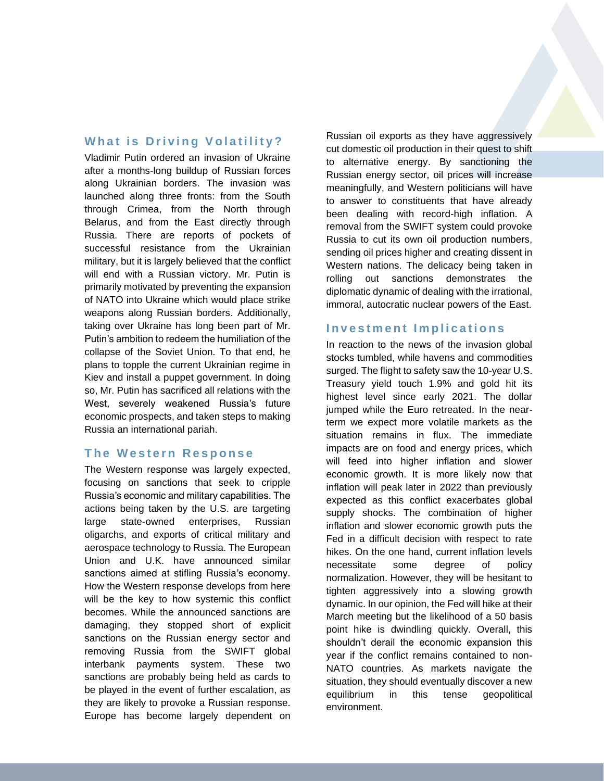## **What is Driving Volatility?**

Vladimir Putin ordered an invasion of Ukraine after a months-long buildup of Russian forces along Ukrainian borders. The invasion was launched along three fronts: from the South through Crimea, from the North through Belarus, and from the East directly through Russia. There are reports of pockets of successful resistance from the Ukrainian military, but it is largely believed that the conflict will end with a Russian victory. Mr. Putin is primarily motivated by preventing the expansion of NATO into Ukraine which would place strike weapons along Russian borders. Additionally, taking over Ukraine has long been part of Mr. Putin's ambition to redeem the humiliation of the collapse of the Soviet Union. To that end, he plans to topple the current Ukrainian regime in Kiev and install a puppet government. In doing so, Mr. Putin has sacrificed all relations with the West, severely weakened Russia's future economic prospects, and taken steps to making Russia an international pariah.

#### **The Western Response**

The Western response was largely expected, focusing on sanctions that seek to cripple Russia's economic and military capabilities. The actions being taken by the U.S. are targeting large state-owned enterprises, Russian oligarchs, and exports of critical military and aerospace technology to Russia. The European Union and U.K. have announced similar sanctions aimed at stifling Russia's economy. How the Western response develops from here will be the key to how systemic this conflict becomes. While the announced sanctions are damaging, they stopped short of explicit sanctions on the Russian energy sector and removing Russia from the SWIFT global interbank payments system. These two sanctions are probably being held as cards to be played in the event of further escalation, as they are likely to provoke a Russian response. Europe has become largely dependent on Russian oil exports as they have aggressively cut domestic oil production in their quest to shift to alternative energy. By sanctioning the Russian energy sector, oil prices will increase meaningfully, and Western politicians will have to answer to constituents that have already been dealing with record-high inflation. A removal from the SWIFT system could provoke Russia to cut its own oil production numbers, sending oil prices higher and creating dissent in Western nations. The delicacy being taken in rolling out sanctions demonstrates the diplomatic dynamic of dealing with the irrational, immoral, autocratic nuclear powers of the East.

#### **Investment Implications**

In reaction to the news of the invasion global stocks tumbled, while havens and commodities surged. The flight to safety saw the 10-year U.S. Treasury yield touch 1.9% and gold hit its highest level since early 2021. The dollar jumped while the Euro retreated. In the nearterm we expect more volatile markets as the situation remains in flux. The immediate impacts are on food and energy prices, which will feed into higher inflation and slower economic growth. It is more likely now that inflation will peak later in 2022 than previously expected as this conflict exacerbates global supply shocks. The combination of higher inflation and slower economic growth puts the Fed in a difficult decision with respect to rate hikes. On the one hand, current inflation levels necessitate some degree of policy normalization. However, they will be hesitant to tighten aggressively into a slowing growth dynamic. In our opinion, the Fed will hike at their March meeting but the likelihood of a 50 basis point hike is dwindling quickly. Overall, this shouldn't derail the economic expansion this year if the conflict remains contained to non-NATO countries. As markets navigate the situation, they should eventually discover a new equilibrium in this tense geopolitical environment.